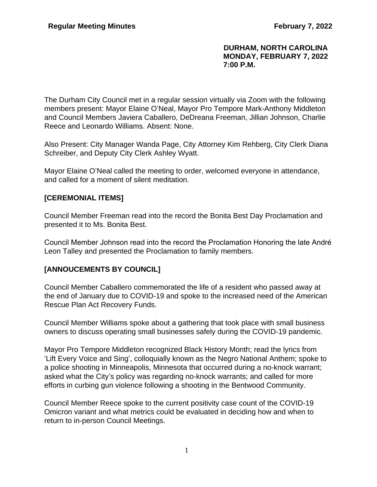#### **DURHAM, NORTH CAROLINA MONDAY, FEBRUARY 7, 2022 7:00 P.M.**

The Durham City Council met in a regular session virtually via Zoom with the following members present: Mayor Elaine O'Neal, Mayor Pro Tempore Mark-Anthony Middleton and Council Members Javiera Caballero, DeDreana Freeman, Jillian Johnson, Charlie Reece and Leonardo Williams. Absent: None.

Also Present: City Manager Wanda Page, City Attorney Kim Rehberg, City Clerk Diana Schreiber, and Deputy City Clerk Ashley Wyatt.

Mayor Elaine O'Neal called the meeting to order, welcomed everyone in attendance, and called for a moment of silent meditation.

## **[CEREMONIAL ITEMS]**

Council Member Freeman read into the record the Bonita Best Day Proclamation and presented it to Ms. Bonita Best.

Council Member Johnson read into the record the Proclamation Honoring the late André Leon Talley and presented the Proclamation to family members.

## **[ANNOUCEMENTS BY COUNCIL]**

Council Member Caballero commemorated the life of a resident who passed away at the end of January due to COVID-19 and spoke to the increased need of the American Rescue Plan Act Recovery Funds.

Council Member Williams spoke about a gathering that took place with small business owners to discuss operating small businesses safely during the COVID-19 pandemic.

Mayor Pro Tempore Middleton recognized Black History Month; read the lyrics from 'Lift Every Voice and Sing', colloquially known as the Negro National Anthem; spoke to a police shooting in Minneapolis, Minnesota that occurred during a no-knock warrant; asked what the City's policy was regarding no-knock warrants; and called for more efforts in curbing gun violence following a shooting in the Bentwood Community.

Council Member Reece spoke to the current positivity case count of the COVID-19 Omicron variant and what metrics could be evaluated in deciding how and when to return to in-person Council Meetings.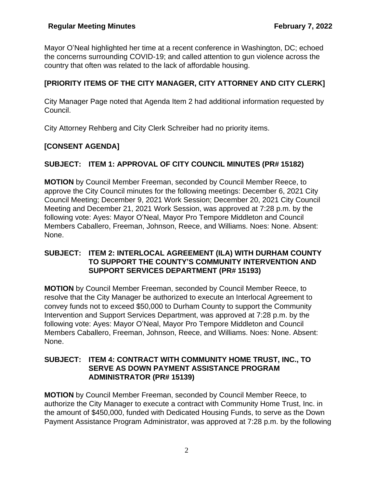Mayor O'Neal highlighted her time at a recent conference in Washington, DC; echoed the concerns surrounding COVID-19; and called attention to gun violence across the country that often was related to the lack of affordable housing.

# **[PRIORITY ITEMS OF THE CITY MANAGER, CITY ATTORNEY AND CITY CLERK]**

City Manager Page noted that Agenda Item 2 had additional information requested by Council.

City Attorney Rehberg and City Clerk Schreiber had no priority items.

## **[CONSENT AGENDA]**

## **SUBJECT: ITEM 1: APPROVAL OF CITY COUNCIL MINUTES (PR# 15182)**

**MOTION** by Council Member Freeman, seconded by Council Member Reece, to approve the City Council minutes for the following meetings: December 6, 2021 City Council Meeting; December 9, 2021 Work Session; December 20, 2021 City Council Meeting and December 21, 2021 Work Session, was approved at 7:28 p.m. by the following vote: Ayes: Mayor O'Neal, Mayor Pro Tempore Middleton and Council Members Caballero, Freeman, Johnson, Reece, and Williams. Noes: None. Absent: None.

### **SUBJECT: ITEM 2: INTERLOCAL AGREEMENT (ILA) WITH DURHAM COUNTY TO SUPPORT THE COUNTY'S COMMUNITY INTERVENTION AND SUPPORT SERVICES DEPARTMENT (PR# 15193)**

**MOTION** by Council Member Freeman, seconded by Council Member Reece, to resolve that the City Manager be authorized to execute an Interlocal Agreement to convey funds not to exceed \$50,000 to Durham County to support the Community Intervention and Support Services Department, was approved at 7:28 p.m. by the following vote: Ayes: Mayor O'Neal, Mayor Pro Tempore Middleton and Council Members Caballero, Freeman, Johnson, Reece, and Williams. Noes: None. Absent: None.

### **SUBJECT: ITEM 4: CONTRACT WITH COMMUNITY HOME TRUST, INC., TO SERVE AS DOWN PAYMENT ASSISTANCE PROGRAM ADMINISTRATOR (PR# 15139)**

**MOTION** by Council Member Freeman, seconded by Council Member Reece, to authorize the City Manager to execute a contract with Community Home Trust, Inc. in the amount of \$450,000, funded with Dedicated Housing Funds, to serve as the Down Payment Assistance Program Administrator, was approved at 7:28 p.m. by the following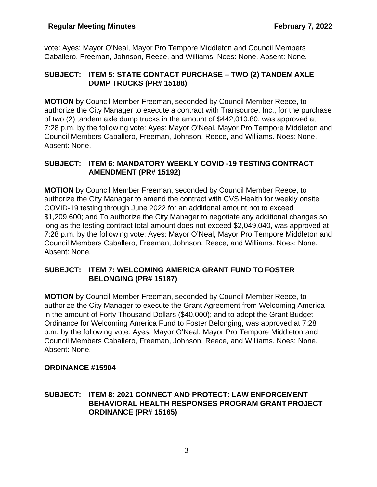vote: Ayes: Mayor O'Neal, Mayor Pro Tempore Middleton and Council Members Caballero, Freeman, Johnson, Reece, and Williams. Noes: None. Absent: None.

## **SUBJECT: ITEM 5: STATE CONTACT PURCHASE – TWO (2) TANDEM AXLE DUMP TRUCKS (PR# 15188)**

**MOTION** by Council Member Freeman, seconded by Council Member Reece, to authorize the City Manager to execute a contract with Transource, Inc., for the purchase of two (2) tandem axle dump trucks in the amount of \$442,010.80, was approved at 7:28 p.m. by the following vote: Ayes: Mayor O'Neal, Mayor Pro Tempore Middleton and Council Members Caballero, Freeman, Johnson, Reece, and Williams. Noes: None. Absent: None.

## **SUBJECT: ITEM 6: MANDATORY WEEKLY COVID -19 TESTING CONTRACT AMENDMENT (PR# 15192)**

**MOTION** by Council Member Freeman, seconded by Council Member Reece, to authorize the City Manager to amend the contract with CVS Health for weekly onsite COVID-19 testing through June 2022 for an additional amount not to exceed \$1,209,600; and To authorize the City Manager to negotiate any additional changes so long as the testing contract total amount does not exceed \$2,049,040, was approved at 7:28 p.m. by the following vote: Ayes: Mayor O'Neal, Mayor Pro Tempore Middleton and Council Members Caballero, Freeman, Johnson, Reece, and Williams. Noes: None. Absent: None.

## **SUBEJCT: ITEM 7: WELCOMING AMERICA GRANT FUND TO FOSTER BELONGING (PR# 15187)**

**MOTION** by Council Member Freeman, seconded by Council Member Reece, to authorize the City Manager to execute the Grant Agreement from Welcoming America in the amount of Forty Thousand Dollars (\$40,000); and to adopt the Grant Budget Ordinance for Welcoming America Fund to Foster Belonging, was approved at 7:28 p.m. by the following vote: Ayes: Mayor O'Neal, Mayor Pro Tempore Middleton and Council Members Caballero, Freeman, Johnson, Reece, and Williams. Noes: None. Absent: None.

## **ORDINANCE #15904**

## **SUBJECT: ITEM 8: 2021 CONNECT AND PROTECT: LAW ENFORCEMENT BEHAVIORAL HEALTH RESPONSES PROGRAM GRANT PROJECT ORDINANCE (PR# 15165)**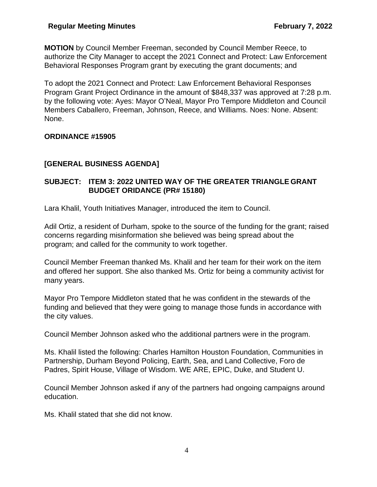**MOTION** by Council Member Freeman, seconded by Council Member Reece, to authorize the City Manager to accept the 2021 Connect and Protect: Law Enforcement Behavioral Responses Program grant by executing the grant documents; and

To adopt the 2021 Connect and Protect: Law Enforcement Behavioral Responses Program Grant Project Ordinance in the amount of \$848,337 was approved at 7:28 p.m. by the following vote: Ayes: Mayor O'Neal, Mayor Pro Tempore Middleton and Council Members Caballero, Freeman, Johnson, Reece, and Williams. Noes: None. Absent: None.

## **ORDINANCE #15905**

## **[GENERAL BUSINESS AGENDA]**

## **SUBJECT: ITEM 3: 2022 UNITED WAY OF THE GREATER TRIANGLE GRANT BUDGET ORIDANCE (PR# 15180)**

Lara Khalil, Youth Initiatives Manager, introduced the item to Council.

Adil Ortiz, a resident of Durham, spoke to the source of the funding for the grant; raised concerns regarding misinformation she believed was being spread about the program; and called for the community to work together.

Council Member Freeman thanked Ms. Khalil and her team for their work on the item and offered her support. She also thanked Ms. Ortiz for being a community activist for many years.

Mayor Pro Tempore Middleton stated that he was confident in the stewards of the funding and believed that they were going to manage those funds in accordance with the city values.

Council Member Johnson asked who the additional partners were in the program.

Ms. Khalil listed the following: Charles Hamilton Houston Foundation, Communities in Partnership, Durham Beyond Policing, Earth, Sea, and Land Collective, Foro de Padres, Spirit House, Village of Wisdom. WE ARE, EPIC, Duke, and Student U.

Council Member Johnson asked if any of the partners had ongoing campaigns around education.

Ms. Khalil stated that she did not know.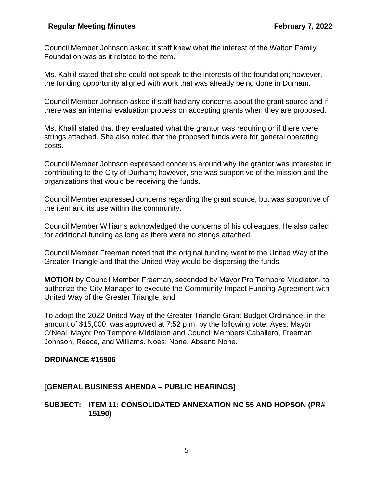Council Member Johnson asked if staff knew what the interest of the Walton Family Foundation was as it related to the item.

Ms. Kahlil stated that she could not speak to the interests of the foundation; however, the funding opportunity aligned with work that was already being done in Durham.

Council Member Johnson asked if staff had any concerns about the grant source and if there was an internal evaluation process on accepting grants when they are proposed.

Ms. Khalil stated that they evaluated what the grantor was requiring or if there were strings attached. She also noted that the proposed funds were for general operating costs.

Council Member Johnson expressed concerns around why the grantor was interested in contributing to the City of Durham; however, she was supportive of the mission and the organizations that would be receiving the funds.

Council Member expressed concerns regarding the grant source, but was supportive of the item and its use within the community.

Council Member Williams acknowledged the concerns of his colleagues. He also called for additional funding as long as there were no strings attached.

Council Member Freeman noted that the original funding went to the United Way of the Greater Triangle and that the United Way would be dispersing the funds.

**MOTION** by Council Member Freeman, seconded by Mayor Pro Tempore Middleton, to authorize the City Manager to execute the Community Impact Funding Agreement with United Way of the Greater Triangle; and

To adopt the 2022 United Way of the Greater Triangle Grant Budget Ordinance, in the amount of \$15,000, was approved at 7:52 p.m. by the following vote: Ayes: Mayor O'Neal, Mayor Pro Tempore Middleton and Council Members Caballero, Freeman, Johnson, Reece, and Williams. Noes: None. Absent: None.

#### **ORDINANCE #15906**

#### **[GENERAL BUSINESS AHENDA – PUBLIC HEARINGS]**

**SUBJECT: ITEM 11: CONSOLIDATED ANNEXATION NC 55 AND HOPSON (PR# 15190)**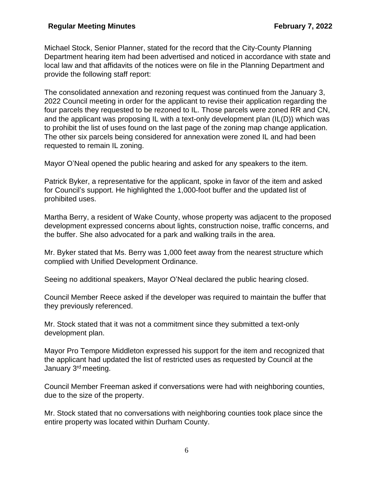#### **Regular Meeting Minutes February 7, 2022**

Michael Stock, Senior Planner, stated for the record that the City-County Planning Department hearing item had been advertised and noticed in accordance with state and local law and that affidavits of the notices were on file in the Planning Department and provide the following staff report:

The consolidated annexation and rezoning request was continued from the January 3, 2022 Council meeting in order for the applicant to revise their application regarding the four parcels they requested to be rezoned to IL. Those parcels were zoned RR and CN, and the applicant was proposing IL with a text-only development plan (IL(D)) which was to prohibit the list of uses found on the last page of the zoning map change application. The other six parcels being considered for annexation were zoned IL and had been requested to remain IL zoning.

Mayor O'Neal opened the public hearing and asked for any speakers to the item.

Patrick Byker, a representative for the applicant, spoke in favor of the item and asked for Council's support. He highlighted the 1,000-foot buffer and the updated list of prohibited uses.

Martha Berry, a resident of Wake County, whose property was adjacent to the proposed development expressed concerns about lights, construction noise, traffic concerns, and the buffer. She also advocated for a park and walking trails in the area.

Mr. Byker stated that Ms. Berry was 1,000 feet away from the nearest structure which complied with Unified Development Ordinance.

Seeing no additional speakers, Mayor O'Neal declared the public hearing closed.

Council Member Reece asked if the developer was required to maintain the buffer that they previously referenced.

Mr. Stock stated that it was not a commitment since they submitted a text-only development plan.

Mayor Pro Tempore Middleton expressed his support for the item and recognized that the applicant had updated the list of restricted uses as requested by Council at the January 3rd meeting.

Council Member Freeman asked if conversations were had with neighboring counties, due to the size of the property.

Mr. Stock stated that no conversations with neighboring counties took place since the entire property was located within Durham County.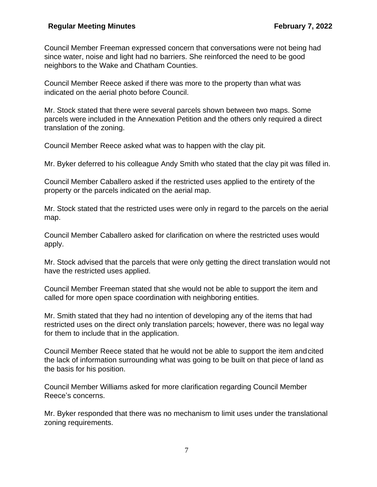Council Member Freeman expressed concern that conversations were not being had since water, noise and light had no barriers. She reinforced the need to be good neighbors to the Wake and Chatham Counties.

Council Member Reece asked if there was more to the property than what was indicated on the aerial photo before Council.

Mr. Stock stated that there were several parcels shown between two maps. Some parcels were included in the Annexation Petition and the others only required a direct translation of the zoning.

Council Member Reece asked what was to happen with the clay pit.

Mr. Byker deferred to his colleague Andy Smith who stated that the clay pit was filled in.

Council Member Caballero asked if the restricted uses applied to the entirety of the property or the parcels indicated on the aerial map.

Mr. Stock stated that the restricted uses were only in regard to the parcels on the aerial map.

Council Member Caballero asked for clarification on where the restricted uses would apply.

Mr. Stock advised that the parcels that were only getting the direct translation would not have the restricted uses applied.

Council Member Freeman stated that she would not be able to support the item and called for more open space coordination with neighboring entities.

Mr. Smith stated that they had no intention of developing any of the items that had restricted uses on the direct only translation parcels; however, there was no legal way for them to include that in the application.

Council Member Reece stated that he would not be able to support the item andcited the lack of information surrounding what was going to be built on that piece of land as the basis for his position.

Council Member Williams asked for more clarification regarding Council Member Reece's concerns.

Mr. Byker responded that there was no mechanism to limit uses under the translational zoning requirements.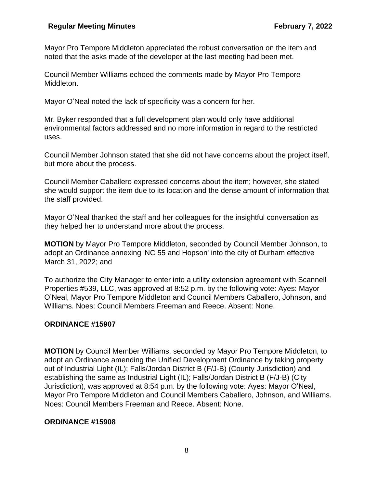Mayor Pro Tempore Middleton appreciated the robust conversation on the item and noted that the asks made of the developer at the last meeting had been met.

Council Member Williams echoed the comments made by Mayor Pro Tempore Middleton.

Mayor O'Neal noted the lack of specificity was a concern for her.

Mr. Byker responded that a full development plan would only have additional environmental factors addressed and no more information in regard to the restricted uses.

Council Member Johnson stated that she did not have concerns about the project itself, but more about the process.

Council Member Caballero expressed concerns about the item; however, she stated she would support the item due to its location and the dense amount of information that the staff provided.

Mayor O'Neal thanked the staff and her colleagues for the insightful conversation as they helped her to understand more about the process.

**MOTION** by Mayor Pro Tempore Middleton, seconded by Council Member Johnson, to adopt an Ordinance annexing 'NC 55 and Hopson' into the city of Durham effective March 31, 2022; and

To authorize the City Manager to enter into a utility extension agreement with Scannell Properties #539, LLC, was approved at 8:52 p.m. by the following vote: Ayes: Mayor O'Neal, Mayor Pro Tempore Middleton and Council Members Caballero, Johnson, and Williams. Noes: Council Members Freeman and Reece. Absent: None.

## **ORDINANCE #15907**

**MOTION** by Council Member Williams, seconded by Mayor Pro Tempore Middleton, to adopt an Ordinance amending the Unified Development Ordinance by taking property out of Industrial Light (IL); Falls/Jordan District B (F/J-B) (County Jurisdiction) and establishing the same as Industrial Light (IL); Falls/Jordan District B (F/J-B) (City Jurisdiction), was approved at 8:54 p.m. by the following vote: Ayes: Mayor O'Neal, Mayor Pro Tempore Middleton and Council Members Caballero, Johnson, and Williams. Noes: Council Members Freeman and Reece. Absent: None.

## **ORDINANCE #15908**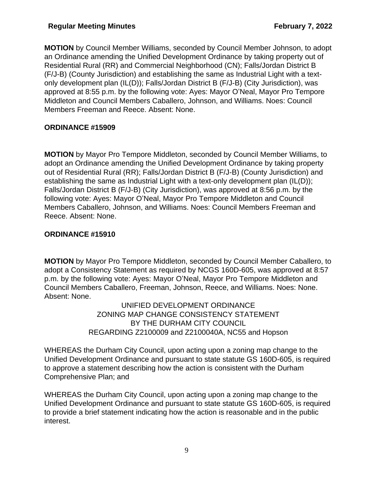**MOTION** by Council Member Williams, seconded by Council Member Johnson, to adopt an Ordinance amending the Unified Development Ordinance by taking property out of Residential Rural (RR) and Commercial Neighborhood (CN); Falls/Jordan District B (F/J-B) (County Jurisdiction) and establishing the same as Industrial Light with a textonly development plan (IL(D)); Falls/Jordan District B (F/J-B) (City Jurisdiction), was approved at 8:55 p.m. by the following vote: Ayes: Mayor O'Neal, Mayor Pro Tempore Middleton and Council Members Caballero, Johnson, and Williams. Noes: Council Members Freeman and Reece. Absent: None.

## **ORDINANCE #15909**

**MOTION** by Mayor Pro Tempore Middleton, seconded by Council Member Williams, to adopt an Ordinance amending the Unified Development Ordinance by taking property out of Residential Rural (RR); Falls/Jordan District B (F/J-B) (County Jurisdiction) and establishing the same as Industrial Light with a text-only development plan (IL(D)); Falls/Jordan District B (F/J-B) (City Jurisdiction), was approved at 8:56 p.m. by the following vote: Ayes: Mayor O'Neal, Mayor Pro Tempore Middleton and Council Members Caballero, Johnson, and Williams. Noes: Council Members Freeman and Reece. Absent: None.

## **ORDINANCE #15910**

**MOTION** by Mayor Pro Tempore Middleton, seconded by Council Member Caballero, to adopt a Consistency Statement as required by NCGS 160D-605, was approved at 8:57 p.m. by the following vote: Ayes: Mayor O'Neal, Mayor Pro Tempore Middleton and Council Members Caballero, Freeman, Johnson, Reece, and Williams. Noes: None. Absent: None.

> UNIFIED DEVELOPMENT ORDINANCE ZONING MAP CHANGE CONSISTENCY STATEMENT BY THE DURHAM CITY COUNCIL REGARDING Z2100009 and Z2100040A, NC55 and Hopson

WHEREAS the Durham City Council, upon acting upon a zoning map change to the Unified Development Ordinance and pursuant to state statute GS 160D-605, is required to approve a statement describing how the action is consistent with the Durham Comprehensive Plan; and

WHEREAS the Durham City Council, upon acting upon a zoning map change to the Unified Development Ordinance and pursuant to state statute GS 160D-605, is required to provide a brief statement indicating how the action is reasonable and in the public interest.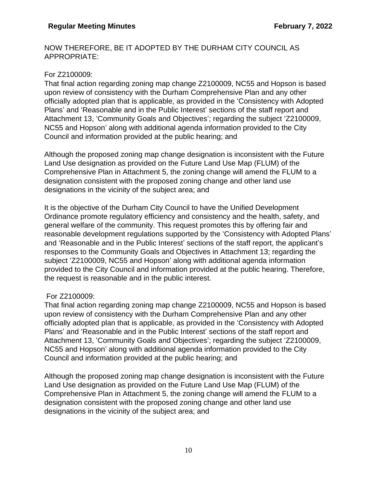#### NOW THEREFORE, BE IT ADOPTED BY THE DURHAM CITY COUNCIL AS APPROPRIATE:

### For Z2100009:

That final action regarding zoning map change Z2100009, NC55 and Hopson is based upon review of consistency with the Durham Comprehensive Plan and any other officially adopted plan that is applicable, as provided in the 'Consistency with Adopted Plans' and 'Reasonable and in the Public Interest' sections of the staff report and Attachment 13, 'Community Goals and Objectives'; regarding the subject 'Z2100009, NC55 and Hopson' along with additional agenda information provided to the City Council and information provided at the public hearing; and

Although the proposed zoning map change designation is inconsistent with the Future Land Use designation as provided on the Future Land Use Map (FLUM) of the Comprehensive Plan in Attachment 5, the zoning change will amend the FLUM to a designation consistent with the proposed zoning change and other land use designations in the vicinity of the subject area; and

It is the objective of the Durham City Council to have the Unified Development Ordinance promote regulatory efficiency and consistency and the health, safety, and general welfare of the community. This request promotes this by offering fair and reasonable development regulations supported by the 'Consistency with Adopted Plans' and 'Reasonable and in the Public Interest' sections of the staff report, the applicant's responses to the Community Goals and Objectives in Attachment 13; regarding the subject 'Z2100009, NC55 and Hopson' along with additional agenda information provided to the City Council and information provided at the public hearing. Therefore, the request is reasonable and in the public interest.

#### For Z2100009:

That final action regarding zoning map change Z2100009, NC55 and Hopson is based upon review of consistency with the Durham Comprehensive Plan and any other officially adopted plan that is applicable, as provided in the 'Consistency with Adopted Plans' and 'Reasonable and in the Public Interest' sections of the staff report and Attachment 13, 'Community Goals and Objectives'; regarding the subject 'Z2100009, NC55 and Hopson' along with additional agenda information provided to the City Council and information provided at the public hearing; and

Although the proposed zoning map change designation is inconsistent with the Future Land Use designation as provided on the Future Land Use Map (FLUM) of the Comprehensive Plan in Attachment 5, the zoning change will amend the FLUM to a designation consistent with the proposed zoning change and other land use designations in the vicinity of the subject area; and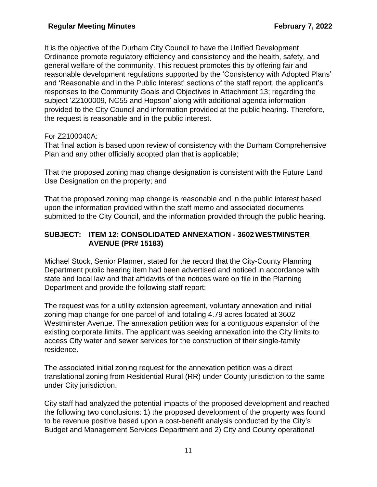It is the objective of the Durham City Council to have the Unified Development Ordinance promote regulatory efficiency and consistency and the health, safety, and general welfare of the community. This request promotes this by offering fair and reasonable development regulations supported by the 'Consistency with Adopted Plans' and 'Reasonable and in the Public Interest' sections of the staff report, the applicant's responses to the Community Goals and Objectives in Attachment 13; regarding the subject 'Z2100009, NC55 and Hopson' along with additional agenda information provided to the City Council and information provided at the public hearing. Therefore, the request is reasonable and in the public interest.

## For Z2100040A:

That final action is based upon review of consistency with the Durham Comprehensive Plan and any other officially adopted plan that is applicable;

That the proposed zoning map change designation is consistent with the Future Land Use Designation on the property; and

That the proposed zoning map change is reasonable and in the public interest based upon the information provided within the staff memo and associated documents submitted to the City Council, and the information provided through the public hearing.

## **SUBJECT: ITEM 12: CONSOLIDATED ANNEXATION - 3602 WESTMINSTER AVENUE (PR# 15183)**

Michael Stock, Senior Planner, stated for the record that the City-County Planning Department public hearing item had been advertised and noticed in accordance with state and local law and that affidavits of the notices were on file in the Planning Department and provide the following staff report:

The request was for a utility extension agreement, voluntary annexation and initial zoning map change for one parcel of land totaling 4.79 acres located at 3602 Westminster Avenue. The annexation petition was for a contiguous expansion of the existing corporate limits. The applicant was seeking annexation into the City limits to access City water and sewer services for the construction of their single-family residence.

The associated initial zoning request for the annexation petition was a direct translational zoning from Residential Rural (RR) under County jurisdiction to the same under City jurisdiction.

City staff had analyzed the potential impacts of the proposed development and reached the following two conclusions: 1) the proposed development of the property was found to be revenue positive based upon a cost-benefit analysis conducted by the City's Budget and Management Services Department and 2) City and County operational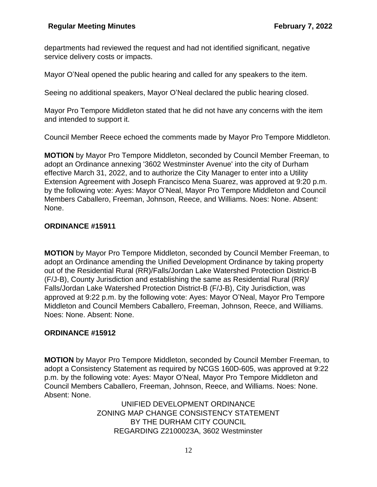departments had reviewed the request and had not identified significant, negative service delivery costs or impacts.

Mayor O'Neal opened the public hearing and called for any speakers to the item.

Seeing no additional speakers, Mayor O'Neal declared the public hearing closed.

Mayor Pro Tempore Middleton stated that he did not have any concerns with the item and intended to support it.

Council Member Reece echoed the comments made by Mayor Pro Tempore Middleton.

**MOTION** by Mayor Pro Tempore Middleton, seconded by Council Member Freeman, to adopt an Ordinance annexing '3602 Westminster Avenue' into the city of Durham effective March 31, 2022, and to authorize the City Manager to enter into a Utility Extension Agreement with Joseph Francisco Mena Suarez, was approved at 9:20 p.m. by the following vote: Ayes: Mayor O'Neal, Mayor Pro Tempore Middleton and Council Members Caballero, Freeman, Johnson, Reece, and Williams. Noes: None. Absent: None.

## **ORDINANCE #15911**

**MOTION** by Mayor Pro Tempore Middleton, seconded by Council Member Freeman, to adopt an Ordinance amending the Unified Development Ordinance by taking property out of the Residential Rural (RR)/Falls/Jordan Lake Watershed Protection District-B (F/J-B), County Jurisdiction and establishing the same as Residential Rural (RR)/ Falls/Jordan Lake Watershed Protection District-B (F/J-B), City Jurisdiction, was approved at 9:22 p.m. by the following vote: Ayes: Mayor O'Neal, Mayor Pro Tempore Middleton and Council Members Caballero, Freeman, Johnson, Reece, and Williams. Noes: None. Absent: None.

## **ORDINANCE #15912**

**MOTION** by Mayor Pro Tempore Middleton, seconded by Council Member Freeman, to adopt a Consistency Statement as required by NCGS 160D-605, was approved at 9:22 p.m. by the following vote: Ayes: Mayor O'Neal, Mayor Pro Tempore Middleton and Council Members Caballero, Freeman, Johnson, Reece, and Williams. Noes: None. Absent: None.

> UNIFIED DEVELOPMENT ORDINANCE ZONING MAP CHANGE CONSISTENCY STATEMENT BY THE DURHAM CITY COUNCIL REGARDING Z2100023A, 3602 Westminster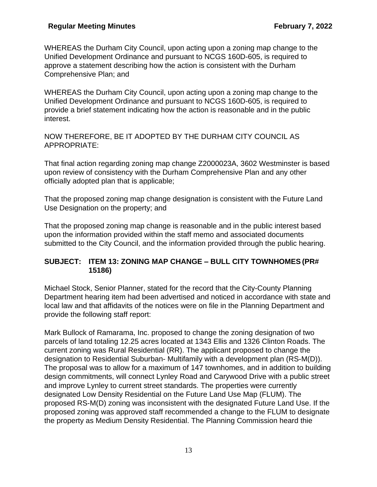WHEREAS the Durham City Council, upon acting upon a zoning map change to the Unified Development Ordinance and pursuant to NCGS 160D-605, is required to approve a statement describing how the action is consistent with the Durham Comprehensive Plan; and

WHEREAS the Durham City Council, upon acting upon a zoning map change to the Unified Development Ordinance and pursuant to NCGS 160D-605, is required to provide a brief statement indicating how the action is reasonable and in the public interest.

NOW THEREFORE, BE IT ADOPTED BY THE DURHAM CITY COUNCIL AS APPROPRIATE:

That final action regarding zoning map change Z2000023A, 3602 Westminster is based upon review of consistency with the Durham Comprehensive Plan and any other officially adopted plan that is applicable;

That the proposed zoning map change designation is consistent with the Future Land Use Designation on the property; and

That the proposed zoning map change is reasonable and in the public interest based upon the information provided within the staff memo and associated documents submitted to the City Council, and the information provided through the public hearing.

## **SUBJECT: ITEM 13: ZONING MAP CHANGE – BULL CITY TOWNHOMES (PR# 15186)**

Michael Stock, Senior Planner, stated for the record that the City-County Planning Department hearing item had been advertised and noticed in accordance with state and local law and that affidavits of the notices were on file in the Planning Department and provide the following staff report:

Mark Bullock of Ramarama, Inc. proposed to change the zoning designation of two parcels of land totaling 12.25 acres located at 1343 Ellis and 1326 Clinton Roads. The current zoning was Rural Residential (RR). The applicant proposed to change the designation to Residential Suburban- Multifamily with a development plan (RS-M(D)). The proposal was to allow for a maximum of 147 townhomes, and in addition to building design commitments, will connect Lynley Road and Carywood Drive with a public street and improve Lynley to current street standards. The properties were currently designated Low Density Residential on the Future Land Use Map (FLUM). The proposed RS-M(D) zoning was inconsistent with the designated Future Land Use. If the proposed zoning was approved staff recommended a change to the FLUM to designate the property as Medium Density Residential. The Planning Commission heard thie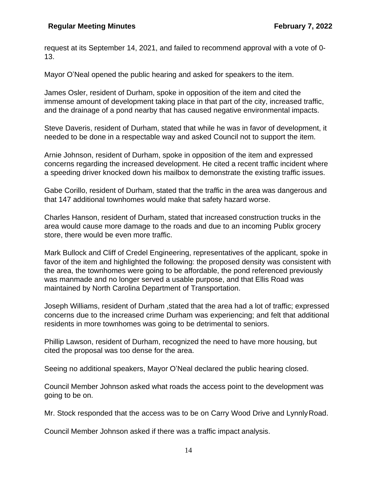request at its September 14, 2021, and failed to recommend approval with a vote of 0- 13.

Mayor O'Neal opened the public hearing and asked for speakers to the item.

James Osler, resident of Durham, spoke in opposition of the item and cited the immense amount of development taking place in that part of the city, increased traffic, and the drainage of a pond nearby that has caused negative environmental impacts.

Steve Daveris, resident of Durham, stated that while he was in favor of development, it needed to be done in a respectable way and asked Council not to support the item.

Arnie Johnson, resident of Durham, spoke in opposition of the item and expressed concerns regarding the increased development. He cited a recent traffic incident where a speeding driver knocked down his mailbox to demonstrate the existing traffic issues.

Gabe Corillo, resident of Durham, stated that the traffic in the area was dangerous and that 147 additional townhomes would make that safety hazard worse.

Charles Hanson, resident of Durham, stated that increased construction trucks in the area would cause more damage to the roads and due to an incoming Publix grocery store, there would be even more traffic.

Mark Bullock and Cliff of Credel Engineering, representatives of the applicant, spoke in favor of the item and highlighted the following: the proposed density was consistent with the area, the townhomes were going to be affordable, the pond referenced previously was manmade and no longer served a usable purpose, and that Ellis Road was maintained by North Carolina Department of Transportation.

Joseph Williams, resident of Durham ,stated that the area had a lot of traffic; expressed concerns due to the increased crime Durham was experiencing; and felt that additional residents in more townhomes was going to be detrimental to seniors.

Phillip Lawson, resident of Durham, recognized the need to have more housing, but cited the proposal was too dense for the area.

Seeing no additional speakers, Mayor O'Neal declared the public hearing closed.

Council Member Johnson asked what roads the access point to the development was going to be on.

Mr. Stock responded that the access was to be on Carry Wood Drive and Lynnly Road.

Council Member Johnson asked if there was a traffic impact analysis.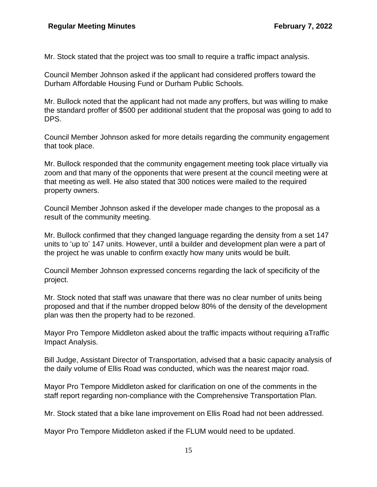Mr. Stock stated that the project was too small to require a traffic impact analysis.

Council Member Johnson asked if the applicant had considered proffers toward the Durham Affordable Housing Fund or Durham Public Schools.

Mr. Bullock noted that the applicant had not made any proffers, but was willing to make the standard proffer of \$500 per additional student that the proposal was going to add to DPS.

Council Member Johnson asked for more details regarding the community engagement that took place.

Mr. Bullock responded that the community engagement meeting took place virtually via zoom and that many of the opponents that were present at the council meeting were at that meeting as well. He also stated that 300 notices were mailed to the required property owners.

Council Member Johnson asked if the developer made changes to the proposal as a result of the community meeting.

Mr. Bullock confirmed that they changed language regarding the density from a set 147 units to 'up to' 147 units. However, until a builder and development plan were a part of the project he was unable to confirm exactly how many units would be built.

Council Member Johnson expressed concerns regarding the lack of specificity of the project.

Mr. Stock noted that staff was unaware that there was no clear number of units being proposed and that if the number dropped below 80% of the density of the development plan was then the property had to be rezoned.

Mayor Pro Tempore Middleton asked about the traffic impacts without requiring aTraffic Impact Analysis.

Bill Judge, Assistant Director of Transportation, advised that a basic capacity analysis of the daily volume of Ellis Road was conducted, which was the nearest major road.

Mayor Pro Tempore Middleton asked for clarification on one of the comments in the staff report regarding non-compliance with the Comprehensive Transportation Plan.

Mr. Stock stated that a bike lane improvement on Ellis Road had not been addressed.

Mayor Pro Tempore Middleton asked if the FLUM would need to be updated.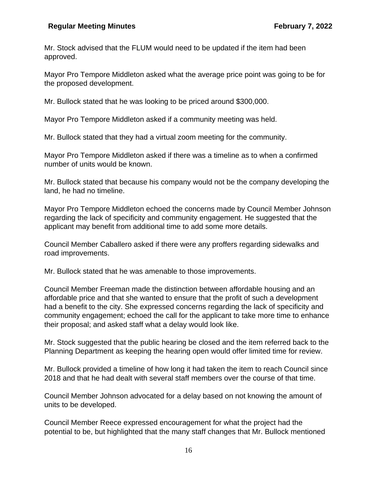Mr. Stock advised that the FLUM would need to be updated if the item had been approved.

Mayor Pro Tempore Middleton asked what the average price point was going to be for the proposed development.

Mr. Bullock stated that he was looking to be priced around \$300,000.

Mayor Pro Tempore Middleton asked if a community meeting was held.

Mr. Bullock stated that they had a virtual zoom meeting for the community.

Mayor Pro Tempore Middleton asked if there was a timeline as to when a confirmed number of units would be known.

Mr. Bullock stated that because his company would not be the company developing the land, he had no timeline.

Mayor Pro Tempore Middleton echoed the concerns made by Council Member Johnson regarding the lack of specificity and community engagement. He suggested that the applicant may benefit from additional time to add some more details.

Council Member Caballero asked if there were any proffers regarding sidewalks and road improvements.

Mr. Bullock stated that he was amenable to those improvements.

Council Member Freeman made the distinction between affordable housing and an affordable price and that she wanted to ensure that the profit of such a development had a benefit to the city. She expressed concerns regarding the lack of specificity and community engagement; echoed the call for the applicant to take more time to enhance their proposal; and asked staff what a delay would look like.

Mr. Stock suggested that the public hearing be closed and the item referred back to the Planning Department as keeping the hearing open would offer limited time for review.

Mr. Bullock provided a timeline of how long it had taken the item to reach Council since 2018 and that he had dealt with several staff members over the course of that time.

Council Member Johnson advocated for a delay based on not knowing the amount of units to be developed.

Council Member Reece expressed encouragement for what the project had the potential to be, but highlighted that the many staff changes that Mr. Bullock mentioned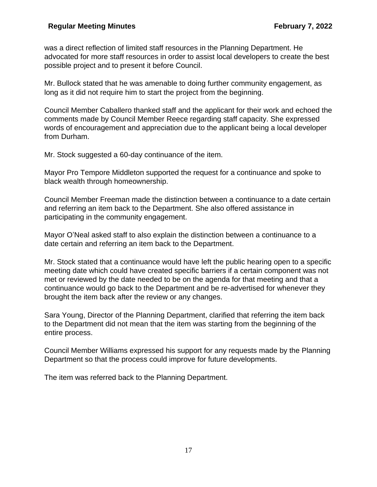was a direct reflection of limited staff resources in the Planning Department. He advocated for more staff resources in order to assist local developers to create the best possible project and to present it before Council.

Mr. Bullock stated that he was amenable to doing further community engagement, as long as it did not require him to start the project from the beginning.

Council Member Caballero thanked staff and the applicant for their work and echoed the comments made by Council Member Reece regarding staff capacity. She expressed words of encouragement and appreciation due to the applicant being a local developer from Durham.

Mr. Stock suggested a 60-day continuance of the item.

Mayor Pro Tempore Middleton supported the request for a continuance and spoke to black wealth through homeownership.

Council Member Freeman made the distinction between a continuance to a date certain and referring an item back to the Department. She also offered assistance in participating in the community engagement.

Mayor O'Neal asked staff to also explain the distinction between a continuance to a date certain and referring an item back to the Department.

Mr. Stock stated that a continuance would have left the public hearing open to a specific meeting date which could have created specific barriers if a certain component was not met or reviewed by the date needed to be on the agenda for that meeting and that a continuance would go back to the Department and be re-advertised for whenever they brought the item back after the review or any changes.

Sara Young, Director of the Planning Department, clarified that referring the item back to the Department did not mean that the item was starting from the beginning of the entire process.

Council Member Williams expressed his support for any requests made by the Planning Department so that the process could improve for future developments.

The item was referred back to the Planning Department.